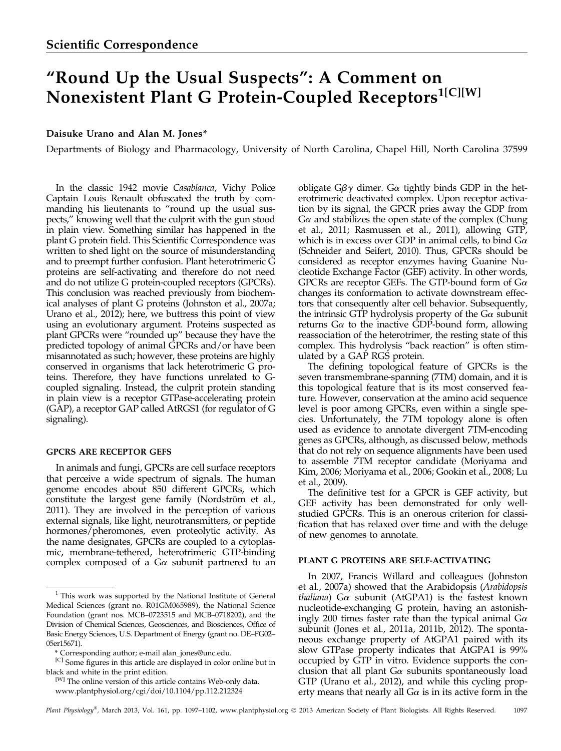# "Round Up the Usual Suspects": A Comment on Nonexistent Plant G Protein-Coupled Receptors<sup>1[C][W]</sup>

# Daisuke Urano and Alan M. Jones\*

Departments of Biology and Pharmacology, University of North Carolina, Chapel Hill, North Carolina 37599

In the classic 1942 movie Casablanca, Vichy Police Captain Louis Renault obfuscated the truth by commanding his lieutenants to "round up the usual suspects," knowing well that the culprit with the gun stood in plain view. Something similar has happened in the plant G protein field. This Scientific Correspondence was written to shed light on the source of misunderstanding and to preempt further confusion. Plant heterotrimeric G proteins are self-activating and therefore do not need and do not utilize G protein-coupled receptors (GPCRs). This conclusion was reached previously from biochemical analyses of plant G proteins (Johnston et al., 2007a; Urano et al., 2012); here, we buttress this point of view using an evolutionary argument. Proteins suspected as plant GPCRs were "rounded up" because they have the predicted topology of animal GPCRs and/or have been misannotated as such; however, these proteins are highly conserved in organisms that lack heterotrimeric G proteins. Therefore, they have functions unrelated to Gcoupled signaling. Instead, the culprit protein standing in plain view is a receptor GTPase-accelerating protein (GAP), a receptor GAP called AtRGS1 (for regulator of G signaling).

## GPCRS ARE RECEPTOR GEFS

In animals and fungi, GPCRs are cell surface receptors that perceive a wide spectrum of signals. The human genome encodes about 850 different GPCRs, which constitute the largest gene family (Nordström et al., 2011). They are involved in the perception of various external signals, like light, neurotransmitters, or peptide hormones/pheromones, even proteolytic activity. As the name designates, GPCRs are coupled to a cytoplasmic, membrane-tethered, heterotrimeric GTP-binding complex composed of a  $Ga$  subunit partnered to an

<sup>[W]</sup> The online version of this article contains Web-only data. [www.plantphysiol.org/cgi/doi/10.1104/pp.112.212324](http://www.plantphysiol.org/cgi/doi/10.1104/pp.112.212324)

obligate  $G\beta\gamma$  dimer.  $G\alpha$  tightly binds GDP in the heterotrimeric deactivated complex. Upon receptor activation by its signal, the GPCR pries away the GDP from  $G\alpha$  and stabilizes the open state of the complex (Chung et al., 2011; Rasmussen et al., 2011), allowing GTP, which is in excess over GDP in animal cells, to bind  $Ga$ (Schneider and Seifert, 2010). Thus, GPCRs should be considered as receptor enzymes having Guanine Nucleotide Exchange Factor (GEF) activity. In other words, GPCRs are receptor GEFs. The GTP-bound form of  $G\alpha$ changes its conformation to activate downstream effectors that consequently alter cell behavior. Subsequently, the intrinsic GTP hydrolysis property of the  $G\alpha$  subunit returns  $G\alpha$  to the inactive GDP-bound form, allowing reassociation of the heterotrimer, the resting state of this complex. This hydrolysis "back reaction" is often stimulated by a GAP RGS protein.

The defining topological feature of GPCRs is the seven transmembrane-spanning (7TM) domain, and it is this topological feature that is its most conserved feature. However, conservation at the amino acid sequence level is poor among GPCRs, even within a single species. Unfortunately, the 7TM topology alone is often used as evidence to annotate divergent 7TM-encoding genes as GPCRs, although, as discussed below, methods that do not rely on sequence alignments have been used to assemble 7TM receptor candidate (Moriyama and Kim, 2006; Moriyama et al., 2006; Gookin et al., 2008; Lu et al., 2009).

The definitive test for a GPCR is GEF activity, but GEF activity has been demonstrated for only wellstudied GPCRs. This is an onerous criterion for classification that has relaxed over time and with the deluge of new genomes to annotate.

#### PLANT G PROTEINS ARE SELF-ACTIVATING

In 2007, Francis Willard and colleagues (Johnston et al., 2007a) showed that the Arabidopsis (Arabidopsis thaliana) G $\alpha$  subunit (AtGPA1) is the fastest known nucleotide-exchanging G protein, having an astonishingly 200 times faster rate than the typical animal  $G\alpha$ subunit (Jones et al., 2011a, 2011b, 2012). The spontaneous exchange property of AtGPA1 paired with its slow GTPase property indicates that AtGPA1 is 99% occupied by GTP in vitro. Evidence supports the conclusion that all plant  $G\alpha$  subunits spontaneously load GTP (Urano et al., 2012), and while this cycling property means that nearly all  $G\alpha$  is in its active form in the

<sup>&</sup>lt;sup>1</sup> This work was supported by the National Institute of General Medical Sciences (grant no. R01GM065989), the National Science Foundation (grant nos. MCB–0723515 and MCB–0718202), and the Division of Chemical Sciences, Geosciences, and Biosciences, Office of Basic Energy Sciences, U.S. Department of Energy (grant no. DE–FG02– 05er15671).

<sup>\*</sup> Corresponding author; e-mail [alan\\_jones@unc.edu.](mailto:alan_jones@unc.edu)

<sup>&</sup>lt;sup>[C]</sup> Some figures in this article are displayed in color online but in black and white in the print edition.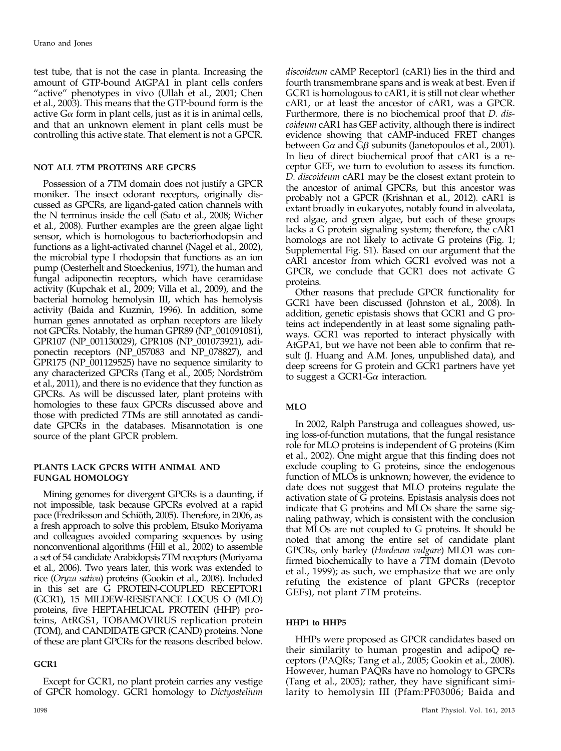test tube, that is not the case in planta. Increasing the amount of GTP-bound AtGPA1 in plant cells confers "active" phenotypes in vivo (Ullah et al., 2001; Chen et al., 2003). This means that the GTP-bound form is the active  $G\alpha$  form in plant cells, just as it is in animal cells, and that an unknown element in plant cells must be controlling this active state. That element is not a GPCR.

## NOT ALL 7TM PROTEINS ARE GPCRS

Possession of a 7TM domain does not justify a GPCR moniker. The insect odorant receptors, originally discussed as GPCRs, are ligand-gated cation channels with the N terminus inside the cell (Sato et al., 2008; Wicher et al., 2008). Further examples are the green algae light sensor, which is homologous to bacteriorhodopsin and functions as a light-activated channel (Nagel et al., 2002), the microbial type I rhodopsin that functions as an ion pump (Oesterhelt and Stoeckenius, 1971), the human and fungal adiponectin receptors, which have ceramidase activity (Kupchak et al., 2009; Villa et al., 2009), and the bacterial homolog hemolysin III, which has hemolysis activity (Baida and Kuzmin, 1996). In addition, some human genes annotated as orphan receptors are likely not GPCRs. Notably, the human GPR89 (NP\_001091081), GPR107 (NP\_001130029), GPR108 (NP\_001073921), adiponectin receptors (NP\_057083 and NP\_078827), and GPR175 (NP\_001129525) have no sequence similarity to any characterized GPCRs (Tang et al., 2005; Nordström et al., 2011), and there is no evidence that they function as GPCRs. As will be discussed later, plant proteins with homologies to these faux GPCRs discussed above and those with predicted 7TMs are still annotated as candidate GPCRs in the databases. Misannotation is one source of the plant GPCR problem.

## PLANTS LACK GPCRS WITH ANIMAL AND FUNGAL HOMOLOGY

Mining genomes for divergent GPCRs is a daunting, if not impossible, task because GPCRs evolved at a rapid pace (Fredriksson and Schiöth, 2005). Therefore, in 2006, as a fresh approach to solve this problem, Etsuko Moriyama and colleagues avoided comparing sequences by using nonconventional algorithms (Hill et al., 2002) to assemble a set of 54 candidate Arabidopsis 7TM receptors (Moriyama et al., 2006). Two years later, this work was extended to rice (Oryza sativa) proteins (Gookin et al., 2008). Included in this set are G PROTEIN-COUPLED RECEPTOR1 (GCR1), 15 MILDEW-RESISTANCE LOCUS O (MLO) proteins, five HEPTAHELICAL PROTEIN (HHP) proteins, AtRGS1, TOBAMOVIRUS replication protein (TOM), and CANDIDATE GPCR (CAND) proteins. None of these are plant GPCRs for the reasons described below.

## GCR1

Except for GCR1, no plant protein carries any vestige of GPCR homology. GCR1 homology to Dictyostelium discoideum cAMP Receptor1 (cAR1) lies in the third and fourth transmembrane spans and is weak at best. Even if GCR1 is homologous to cAR1, it is still not clear whether cAR1, or at least the ancestor of cAR1, was a GPCR. Furthermore, there is no biochemical proof that D. discoideum cAR1 has GEF activity, although there is indirect evidence showing that cAMP-induced FRET changes between G $\alpha$  and G $\beta$  subunits (Janetopoulos et al., 2001). In lieu of direct biochemical proof that cAR1 is a receptor GEF, we turn to evolution to assess its function. D. discoideum cAR1 may be the closest extant protein to the ancestor of animal GPCRs, but this ancestor was probably not a GPCR (Krishnan et al., 2012). cAR1 is extant broadly in eukaryotes, notably found in alveolata, red algae, and green algae, but each of these groups lacks a G protein signaling system; therefore, the cAR1 homologs are not likely to activate G proteins (Fig. 1; [Supplemental Fig. S1](http://www.plantphysiol.org/cgi/content/full/pp.112.212324/DC1)). Based on our argument that the cAR1 ancestor from which GCR1 evolved was not a GPCR, we conclude that GCR1 does not activate G proteins. Other reasons that preclude GPCR functionality for

GCR1 have been discussed (Johnston et al., 2008). In addition, genetic epistasis shows that GCR1 and G proteins act independently in at least some signaling pathways. GCR1 was reported to interact physically with AtGPA1, but we have not been able to confirm that result (J. Huang and A.M. Jones, unpublished data), and deep screens for G protein and GCR1 partners have yet to suggest a GCR1-G $\alpha$  interaction.

# MLO

In 2002, Ralph Panstruga and colleagues showed, using loss-of-function mutations, that the fungal resistance role for MLO proteins is independent of G proteins (Kim et al., 2002). One might argue that this finding does not exclude coupling to G proteins, since the endogenous function of MLOs is unknown; however, the evidence to date does not suggest that MLO proteins regulate the activation state of G proteins. Epistasis analysis does not indicate that G proteins and MLOs share the same signaling pathway, which is consistent with the conclusion that MLOs are not coupled to G proteins. It should be noted that among the entire set of candidate plant GPCRs, only barley (Hordeum vulgare) MLO1 was confirmed biochemically to have a 7TM domain (Devoto et al., 1999); as such, we emphasize that we are only refuting the existence of plant GPCRs (receptor GEFs), not plant 7TM proteins.

## HHP1 to HHP5

HHPs were proposed as GPCR candidates based on their similarity to human progestin and adipoQ receptors (PAQRs; Tang et al., 2005; Gookin et al., 2008). However, human PAQRs have no homology to GPCRs (Tang et al., 2005); rather, they have significant similarity to hemolysin III (Pfam:PF03006; Baida and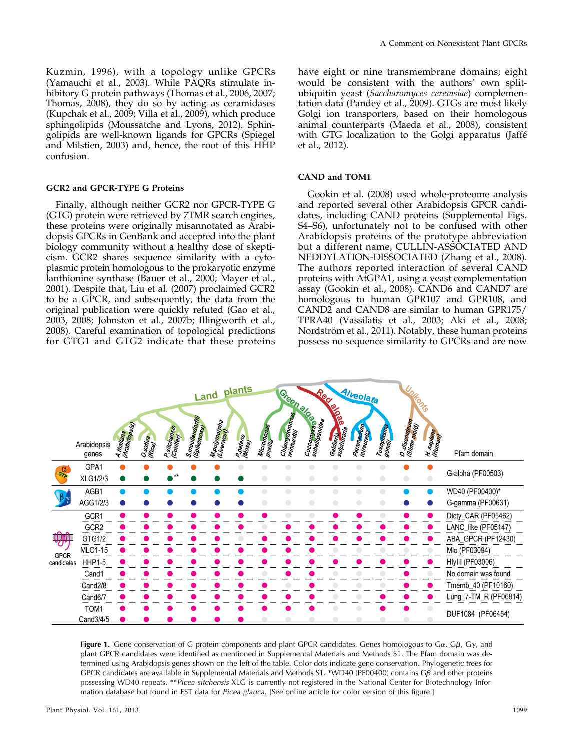Kuzmin, 1996), with a topology unlike GPCRs (Yamauchi et al., 2003). While PAQRs stimulate inhibitory G protein pathways (Thomas et al., 2006, 2007; Thomas, 2008), they do so by acting as ceramidases (Kupchak et al., 2009; Villa et al., 2009), which produce sphingolipids (Moussatche and Lyons, 2012). Sphingolipids are well-known ligands for GPCRs (Spiegel and Milstien, 2003) and, hence, the root of this HHP confusion.

#### GCR2 and GPCR-TYPE G Proteins

Finally, although neither GCR2 nor GPCR-TYPE G (GTG) protein were retrieved by 7TMR search engines, these proteins were originally misannotated as Arabidopsis GPCRs in GenBank and accepted into the plant biology community without a healthy dose of skepticism. GCR2 shares sequence similarity with a cytoplasmic protein homologous to the prokaryotic enzyme lanthionine synthase (Bauer et al., 2000; Mayer et al., 2001). Despite that, Liu et al. (2007) proclaimed GCR2 to be a GPCR, and subsequently, the data from the original publication were quickly refuted (Gao et al., 2003, 2008; Johnston et al., 2007b; Illingworth et al., 2008). Careful examination of topological predictions for GTG1 and GTG2 indicate that these proteins have eight or nine transmembrane domains; eight would be consistent with the authors' own splitubiquitin yeast (Saccharomyces cerevisiae) complementation data (Pandey et al., 2009). GTGs are most likely Golgi ion transporters, based on their homologous animal counterparts (Maeda et al., 2008), consistent with GTG localization to the Golgi apparatus (Jaffé et al., 2012).

### CAND and TOM1

Gookin et al. (2008) used whole-proteome analysis and reported several other Arabidopsis GPCR candidates, including CAND proteins ([Supplemental Figs.](http://www.plantphysiol.org/cgi/content/full/pp.112.212324/DC1) [S4](http://www.plantphysiol.org/cgi/content/full/pp.112.212324/DC1)–S6), unfortunately not to be confused with other Arabidopsis proteins of the prototype abbreviation but a different name, CULLIN-ASSOCIATED AND NEDDYLATION-DISSOCIATED (Zhang et al., 2008). The authors reported interaction of several CAND proteins with AtGPA1, using a yeast complementation assay (Gookin et al., 2008). CAND6 and CAND7 are homologous to human GPR107 and GPR108, and CAND2 and CAND8 are similar to human GPR175/ TPRA40 (Vassilatis et al., 2003; Aki et al., 2008; Nordström et al., 2011). Notably, these human proteins possess no sequence similarity to GPCRs and are now



Figure 1. Gene conservation of G protein components and plant GPCR candidates. Genes homologous to G $\alpha$ , G $\beta$ , G $\gamma$ , and plant GPCR candidates were identified as mentioned in [Supplemental Materials and Methods S1.](http://www.plantphysiol.org/cgi/content/full/pp.112.212324/DC1) The Pfam domain was determined using Arabidopsis genes shown on the left of the table. Color dots indicate gene conservation. Phylogenetic trees for GPCR candidates are available in [Supplemental Materials and Methods S1.](http://www.plantphysiol.org/cgi/content/full/pp.112.212324/DC1) \*WD40 (PF00400) contains  $G\beta$  and other proteins possessing WD40 repeats. \*\*Picea sitchensis XLG is currently not registered in the National Center for Biotechnology Information database but found in EST data for Picea glauca. [See online article for color version of this figure.]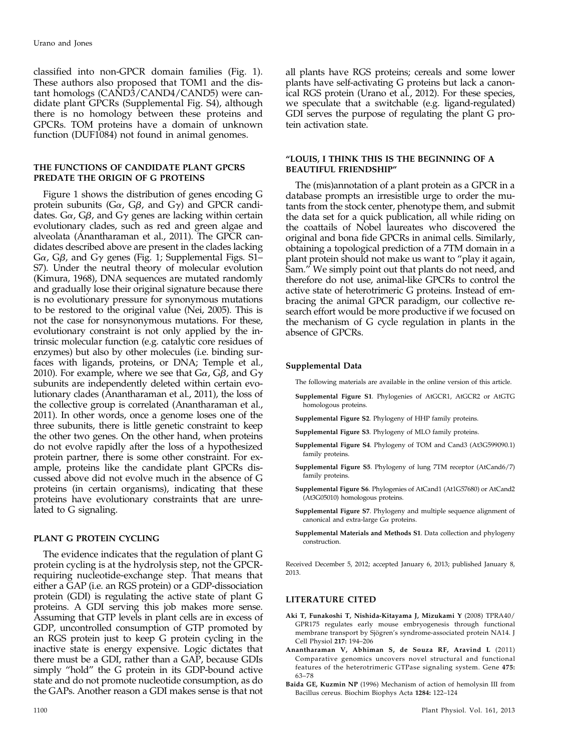classified into non-GPCR domain families (Fig. 1). These authors also proposed that TOM1 and the distant homologs (CAND3/CAND4/CAND5) were candidate plant GPCRs [\(Supplemental Fig. S4](http://www.plantphysiol.org/cgi/content/full/pp.112.212324/DC1)), although there is no homology between these proteins and GPCRs. TOM proteins have a domain of unknown function (DUF1084) not found in animal genomes.

## THE FUNCTIONS OF CANDIDATE PLANT GPCRS PREDATE THE ORIGIN OF G PROTEINS

Figure 1 shows the distribution of genes encoding G protein subunits ( $Ga$ ,  $G\beta$ , and  $G\gamma$ ) and GPCR candidates. G $\alpha$ , G $\beta$ , and G $\gamma$  genes are lacking within certain evolutionary clades, such as red and green algae and alveolata (Anantharaman et al., 2011). The GPCR candidates described above are present in the clades lacking  $G\alpha$ ,  $G\beta$ , and  $G\gamma$  genes (Fig. 1; [Supplemental Figs. S1](http://www.plantphysiol.org/cgi/content/full/pp.112.212324/DC1)– [S7](http://www.plantphysiol.org/cgi/content/full/pp.112.212324/DC1)). Under the neutral theory of molecular evolution (Kimura, 1968), DNA sequences are mutated randomly and gradually lose their original signature because there is no evolutionary pressure for synonymous mutations to be restored to the original value (Nei, 2005). This is not the case for nonsynonymous mutations. For these, evolutionary constraint is not only applied by the intrinsic molecular function (e.g. catalytic core residues of enzymes) but also by other molecules (i.e. binding surfaces with ligands, proteins, or DNA; Temple et al., 2010). For example, where we see that  $G_{\alpha}$ ,  $G_{\beta}$ , and  $G_{\gamma}$ subunits are independently deleted within certain evolutionary clades (Anantharaman et al., 2011), the loss of the collective group is correlated (Anantharaman et al., 2011). In other words, once a genome loses one of the three subunits, there is little genetic constraint to keep the other two genes. On the other hand, when proteins do not evolve rapidly after the loss of a hypothesized protein partner, there is some other constraint. For example, proteins like the candidate plant GPCRs discussed above did not evolve much in the absence of G proteins (in certain organisms), indicating that these proteins have evolutionary constraints that are unrelated to G signaling.

#### PLANT G PROTEIN CYCLING

The evidence indicates that the regulation of plant G protein cycling is at the hydrolysis step, not the GPCRrequiring nucleotide-exchange step. That means that either a GAP (i.e. an RGS protein) or a GDP-dissociation protein (GDI) is regulating the active state of plant G proteins. A GDI serving this job makes more sense. Assuming that GTP levels in plant cells are in excess of GDP, uncontrolled consumption of GTP promoted by an RGS protein just to keep G protein cycling in the inactive state is energy expensive. Logic dictates that there must be a GDI, rather than a GAP, because GDIs simply "hold" the G protein in its GDP-bound active state and do not promote nucleotide consumption, as do the GAPs. Another reason a GDI makes sense is that not

all plants have RGS proteins; cereals and some lower plants have self-activating G proteins but lack a canonical RGS protein (Urano et al., 2012). For these species, we speculate that a switchable (e.g. ligand-regulated) GDI serves the purpose of regulating the plant G protein activation state.

#### "LOUIS, I THINK THIS IS THE BEGINNING OF A BEAUTIFUL FRIENDSHIP"

The (mis)annotation of a plant protein as a GPCR in a database prompts an irresistible urge to order the mutants from the stock center, phenotype them, and submit the data set for a quick publication, all while riding on the coattails of Nobel laureates who discovered the original and bona fide GPCRs in animal cells. Similarly, obtaining a topological prediction of a 7TM domain in a plant protein should not make us want to "play it again, Sam." We simply point out that plants do not need, and therefore do not use, animal-like GPCRs to control the active state of heterotrimeric G proteins. Instead of embracing the animal GPCR paradigm, our collective research effort would be more productive if we focused on the mechanism of G cycle regulation in plants in the absence of GPCRs.

#### Supplemental Data

The following materials are available in the online version of this article.

- [Supplemental Figure S1](http://www.plantphysiol.org/cgi/content/full/pp.112.212324/DC1). Phylogenies of AtGCR1, AtGCR2 or AtGTG homologous proteins.
- [Supplemental Figure S2](http://www.plantphysiol.org/cgi/content/full/pp.112.212324/DC1). Phylogeny of HHP family proteins.
- [Supplemental Figure S3](http://www.plantphysiol.org/cgi/content/full/pp.112.212324/DC1). Phylogeny of MLO family proteins.
- [Supplemental Figure S4](http://www.plantphysiol.org/cgi/content/full/pp.112.212324/DC1). Phylogeny of TOM and Cand3 (At3G599090.1) family proteins.
- [Supplemental Figure S5](http://www.plantphysiol.org/cgi/content/full/pp.112.212324/DC1). Phylogeny of lung 7TM receptor (AtCand6/7) family proteins.
- [Supplemental Figure S6](http://www.plantphysiol.org/cgi/content/full/pp.112.212324/DC1). Phylogenies of AtCand1 (At1G57680) or AtCand2 (At3G05010) homologous proteins.
- [Supplemental Figure S7](http://www.plantphysiol.org/cgi/content/full/pp.112.212324/DC1). Phylogeny and multiple sequence alignment of canonical and extra-large  $G\alpha$  proteins.
- [Supplemental Materials and Methods S1](http://www.plantphysiol.org/cgi/content/full/pp.112.212324/DC1). Data collection and phylogeny construction.

Received December 5, 2012; accepted January 6, 2013; published January 8, 2013.

#### LITERATURE CITED

- Aki T, Funakoshi T, Nishida-Kitayama J, Mizukami Y (2008) TPRA40/ GPR175 regulates early mouse embryogenesis through functional membrane transport by Sjögren's syndrome-associated protein NA14. J Cell Physiol 217: 194–206
- Anantharaman V, Abhiman S, de Souza RF, Aravind L (2011) Comparative genomics uncovers novel structural and functional features of the heterotrimeric GTPase signaling system. Gene 475: 63–78
- Baida GE, Kuzmin NP (1996) Mechanism of action of hemolysin III from Bacillus cereus. Biochim Biophys Acta 1284: 122–124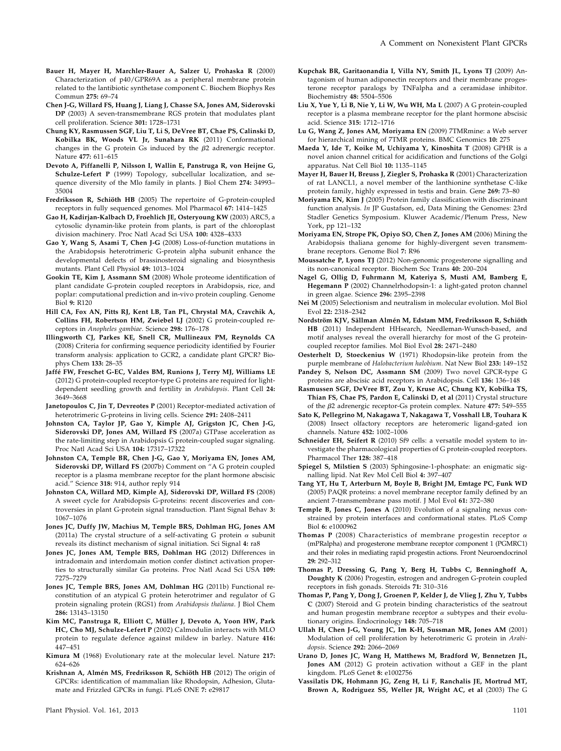- Bauer H, Mayer H, Marchler-Bauer A, Salzer U, Prohaska R (2000) Characterization of p40/GPR69A as a peripheral membrane protein related to the lantibiotic synthetase component C. Biochem Biophys Res Commun 275: 69–74
- Chen J-G, Willard FS, Huang J, Liang J, Chasse SA, Jones AM, Siderovski DP (2003) A seven-transmembrane RGS protein that modulates plant cell proliferation. Science 301: 1728–1731
- Chung KY, Rasmussen SGF, Liu T, Li S, DeVree BT, Chae PS, Calinski D, Kobilka BK, Woods VL Jr, Sunahara RK (2011) Conformational changes in the G protein Gs induced by the  $\beta$ 2 adrenergic receptor. Nature 477: 611–615
- Devoto A, Piffanelli P, Nilsson I, Wallin E, Panstruga R, von Heijne G, Schulze-Lefert P (1999) Topology, subcellular localization, and sequence diversity of the Mlo family in plants. J Biol Chem 274: 34993– 35004
- Fredriksson R, Schiöth HB (2005) The repertoire of G-protein-coupled receptors in fully sequenced genomes. Mol Pharmacol 67: 1414–1425
- Gao H, Kadirjan-Kalbach D, Froehlich JE, Osteryoung KW (2003) ARC5, a cytosolic dynamin-like protein from plants, is part of the chloroplast division machinery. Proc Natl Acad Sci USA 100: 4328–4333
- Gao Y, Wang S, Asami T, Chen J-G (2008) Loss-of-function mutations in the Arabidopsis heterotrimeric G-protein alpha subunit enhance the developmental defects of brassinosteroid signaling and biosynthesis mutants. Plant Cell Physiol 49: 1013–1024
- Gookin TE, Kim J, Assmann SM (2008) Whole proteome identification of plant candidate G-protein coupled receptors in Arabidopsis, rice, and poplar: computational prediction and in-vivo protein coupling. Genome Biol 9: R120
- Hill CA, Fox AN, Pitts RJ, Kent LB, Tan PL, Chrystal MA, Cravchik A, Collins FH, Robertson HM, Zwiebel LJ (2002) G protein-coupled receptors in Anopheles gambiae. Science 298: 176–178
- Illingworth CJ, Parkes KE, Snell CR, Mullineaux PM, Reynolds CA (2008) Criteria for confirming sequence periodicity identified by Fourier transform analysis: application to GCR2, a candidate plant GPCR? Biophys Chem 133: 28–35
- Jaffé FW, Freschet G-EC, Valdes BM, Runions J, Terry MJ, Williams LE (2012) G protein-coupled receptor-type G proteins are required for lightdependent seedling growth and fertility in Arabidopsis. Plant Cell 24: 3649–3668
- Janetopoulos C, Jin T, Devreotes P (2001) Receptor-mediated activation of heterotrimeric G-proteins in living cells. Science 291: 2408–2411
- Johnston CA, Taylor JP, Gao Y, Kimple AJ, Grigston JC, Chen J-G, Siderovski DP, Jones AM, Willard FS (2007a) GTPase acceleration as the rate-limiting step in Arabidopsis G protein-coupled sugar signaling. Proc Natl Acad Sci USA 104: 17317–17322
- Johnston CA, Temple BR, Chen J-G, Gao Y, Moriyama EN, Jones AM, Siderovski DP, Willard FS (2007b) Comment on "A G protein coupled receptor is a plasma membrane receptor for the plant hormone abscisic acid." Science 318: 914, author reply 914
- Johnston CA, Willard MD, Kimple AJ, Siderovski DP, Willard FS (2008) A sweet cycle for Arabidopsis G-proteins: recent discoveries and controversies in plant G-protein signal transduction. Plant Signal Behav 3: 1067–1076
- Jones JC, Duffy JW, Machius M, Temple BRS, Dohlman HG, Jones AM (2011a) The crystal structure of a self-activating G protein  $\alpha$  subunit reveals its distinct mechanism of signal initiation. Sci Signal 4: ra8
- Jones JC, Jones AM, Temple BRS, Dohlman HG (2012) Differences in intradomain and interdomain motion confer distinct activation properties to structurally similar  $Ga$  proteins. Proc Natl Acad Sci USA 109: 7275–7279
- Jones JC, Temple BRS, Jones AM, Dohlman HG (2011b) Functional reconstitution of an atypical G protein heterotrimer and regulator of G protein signaling protein (RGS1) from Arabidopsis thaliana. J Biol Chem 286: 13143–13150
- Kim MC, Panstruga R, Elliott C, Müller J, Devoto A, Yoon HW, Park HC, Cho MJ, Schulze-Lefert P (2002) Calmodulin interacts with MLO protein to regulate defence against mildew in barley. Nature 416: 447–451
- Kimura M (1968) Evolutionary rate at the molecular level. Nature 217: 624–626
- Krishnan A, Almén MS, Fredriksson R, Schiöth HB (2012) The origin of GPCRs: identification of mammalian like Rhodopsin, Adhesion, Glutamate and Frizzled GPCRs in fungi. PLoS ONE 7: e29817
- Kupchak BR, Garitaonandia I, Villa NY, Smith JL, Lyons TJ (2009) Antagonism of human adiponectin receptors and their membrane progesterone receptor paralogs by TNFalpha and a ceramidase inhibitor. Biochemistry 48: 5504–5506
- Liu X, Yue Y, Li B, Nie Y, Li W, Wu WH, Ma L (2007) A G protein-coupled receptor is a plasma membrane receptor for the plant hormone abscisic acid. Science 315: 1712–1716
- Lu G, Wang Z, Jones AM, Moriyama EN (2009) 7TMRmine: a Web server for hierarchical mining of 7TMR proteins. BMC Genomics 10: 275
- Maeda Y, Ide T, Koike M, Uchiyama Y, Kinoshita T (2008) GPHR is a novel anion channel critical for acidification and functions of the Golgi apparatus. Nat Cell Biol 10: 1135–1145
- Mayer H, Bauer H, Breuss J, Ziegler S, Prohaska R (2001) Characterization of rat LANCL1, a novel member of the lanthionine synthetase C-like protein family, highly expressed in testis and brain. Gene 269: 73–80
- Moriyama EN, Kim J (2005) Protein family classification with discriminant function analysis. In JP Gustafson, ed, Data Mining the Genomes: 23rd Stadler Genetics Symposium. Kluwer Academic/Plenum Press, New York, pp 121–132
- Moriyama EN, Strope PK, Opiyo SO, Chen Z, Jones AM (2006) Mining the Arabidopsis thaliana genome for highly-divergent seven transmembrane receptors. Genome Biol 7: R96
- Moussatche P, Lyons TJ (2012) Non-genomic progesterone signalling and its non-canonical receptor. Biochem Soc Trans 40: 200–204
- Nagel G, Ollig D, Fuhrmann M, Kateriya S, Musti AM, Bamberg E, Hegemann P (2002) Channelrhodopsin-1: a light-gated proton channel in green algae. Science 296: 2395–2398
- Nei M (2005) Selectionism and neutralism in molecular evolution. Mol Biol Evol 22: 2318–2342
- Nordström KJV, Sällman Almén M, Edstam MM, Fredriksson R, Schiöth HB (2011) Independent HHsearch, Needleman-Wunsch-based, and motif analyses reveal the overall hierarchy for most of the G proteincoupled receptor families. Mol Biol Evol 28: 2471–2480
- Oesterhelt D, Stoeckenius W (1971) Rhodopsin-like protein from the purple membrane of Halobacterium halobium. Nat New Biol 233: 149–152
- Pandey S, Nelson DC, Assmann SM (2009) Two novel GPCR-type G proteins are abscisic acid receptors in Arabidopsis. Cell 136: 136–148
- Rasmussen SGF, DeVree BT, Zou Y, Kruse AC, Chung KY, Kobilka TS, Thian FS, Chae PS, Pardon E, Calinski D, et al (2011) Crystal structure of the  $\beta$ 2 adrenergic receptor-Gs protein complex. Nature 477: 549-555
- Sato K, Pellegrino M, Nakagawa T, Nakagawa T, Vosshall LB, Touhara K (2008) Insect olfactory receptors are heteromeric ligand-gated ion channels. Nature 452: 1002–1006
- Schneider EH, Seifert R (2010) Sf9 cells: a versatile model system to investigate the pharmacological properties of G protein-coupled receptors. Pharmacol Ther 128: 387–418
- Spiegel S, Milstien S (2003) Sphingosine-1-phosphate: an enigmatic signalling lipid. Nat Rev Mol Cell Biol 4: 397–407
- Tang YT, Hu T, Arterburn M, Boyle B, Bright JM, Emtage PC, Funk WD (2005) PAQR proteins: a novel membrane receptor family defined by an ancient 7-transmembrane pass motif. J Mol Evol 61: 372–380
- Temple B, Jones C, Jones A (2010) Evolution of a signaling nexus constrained by protein interfaces and conformational states. PLoS Comp Biol 6: e1000962
- Thomas P (2008) Characteristics of membrane progestin receptor  $\alpha$ (mPRalpha) and progesterone membrane receptor component 1 (PGMRC1) and their roles in mediating rapid progestin actions. Front Neuroendocrinol 29: 292–312
- Thomas P, Dressing G, Pang Y, Berg H, Tubbs C, Benninghoff A, Doughty K (2006) Progestin, estrogen and androgen G-protein coupled receptors in fish gonads. Steroids 71: 310–316
- Thomas P, Pang Y, Dong J, Groenen P, Kelder J, de Vlieg J, Zhu Y, Tubbs C (2007) Steroid and G protein binding characteristics of the seatrout and human progestin membrane receptor  $\alpha$  subtypes and their evolutionary origins. Endocrinology 148: 705–718
- Ullah H, Chen J-G, Young JC, Im K-H, Sussman MR, Jones AM (2001) Modulation of cell proliferation by heterotrimeric G protein in Arabidopsis. Science 292: 2066–2069
- Urano D, Jones JC, Wang H, Matthews M, Bradford W, Bennetzen JL, Jones AM (2012) G protein activation without a GEF in the plant kingdom. PLoS Genet 8: e1002756
- Vassilatis DK, Hohmann JG, Zeng H, Li F, Ranchalis JE, Mortrud MT, Brown A, Rodriguez SS, Weller JR, Wright AC, et al (2003) The G